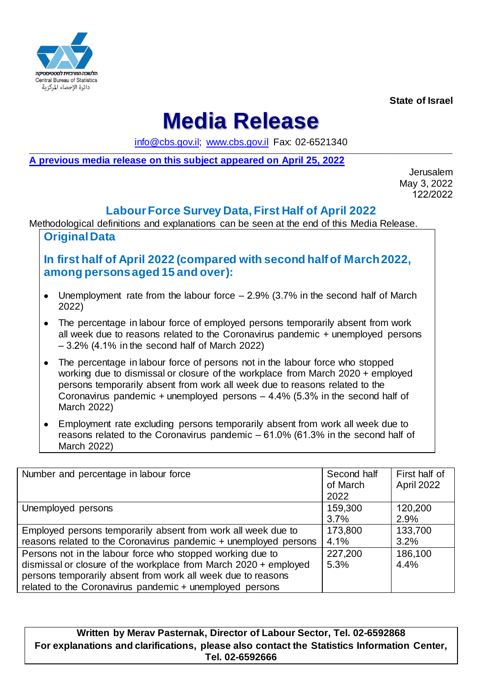

**State of Israel**

# **Media Release**

[info@cbs.gov.il;](mailto:info@cbs.gov.il) [www.cbs.gov.il](https://www.cbs.gov.il/) Fax: 02-6521340

\_\_\_\_\_\_\_\_\_\_\_\_\_\_\_\_\_\_\_\_\_\_\_\_\_\_\_\_\_\_\_\_\_\_\_\_\_\_\_\_\_\_\_\_\_\_\_\_\_\_\_\_\_\_\_\_\_\_\_\_\_\_\_\_\_\_\_\_\_\_\_\_\_\_\_\_\_\_\_\_\_\_\_\_\_\_\_\_\_\_\_\_\_\_\_\_\_\_\_\_\_\_\_\_\_\_\_\_\_\_\_\_\_\_\_\_\_ **[A previous media release on this subject appeared on April](https://www.cbs.gov.il/en/mediarelease/pages/2022/labour-force-survey-data-second-half-of-march%20-and-march%20-2022.aspx) 25, 2022**

Jerusalem May 3, 2022 122/2022

## **LabourForce Survey Data, First Half of April 2022**

Methodological definitions and explanations can be seen at the end of this Media Release. **Original Data**

### **In first half of April 2022 (compared with second half of March2022, among persons aged 15 and over):**

- Unemployment rate from the labour force  $-2.9\%$  (3.7% in the second half of March 2022)
- The percentage in labour force of employed persons temporarily absent from work all week due to reasons related to the Coronavirus pandemic + unemployed persons – 3.2% (4.1% in the second half of March 2022)
- The percentage in labour force of persons not in the labour force who stopped working due to dismissal or closure of the workplace from March 2020 + employed persons temporarily absent from work all week due to reasons related to the Coronavirus pandemic + unemployed persons – 4.4% (5.3% in the second half of March 2022)
- Employment rate excluding persons temporarily absent from work all week due to reasons related to the Coronavirus pandemic – 61.0% (61.3% in the second half of March 2022)

| Number and percentage in labour force                              | Second half | First half of |
|--------------------------------------------------------------------|-------------|---------------|
|                                                                    | of March    | April 2022    |
|                                                                    | 2022        |               |
| Unemployed persons                                                 | 159,300     | 120,200       |
|                                                                    | 3.7%        | 2.9%          |
| Employed persons temporarily absent from work all week due to      | 173,800     | 133,700       |
| reasons related to the Coronavirus pandemic + unemployed persons   | 4.1%        | 3.2%          |
| Persons not in the labour force who stopped working due to         | 227,200     | 186,100       |
| dismissal or closure of the workplace from March $2020 +$ employed | 5.3%        | 4.4%          |
| persons temporarily absent from work all week due to reasons       |             |               |
| related to the Coronavirus pandemic + unemployed persons           |             |               |

**Written by Merav Pasternak, Director of Labour Sector, Tel. 02-6592868 For explanations and clarifications, please also contact the Statistics Information Center, Tel. 02-6592666**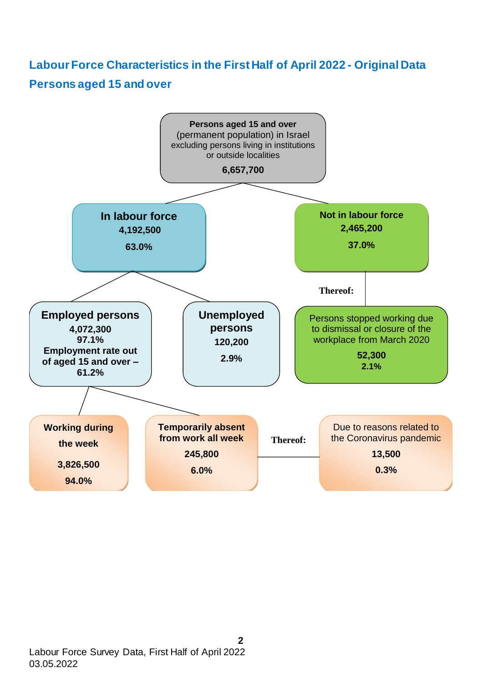# **LabourForce Characteristics in the First Half of April 2022 - Original Data Persons aged 15 and over**

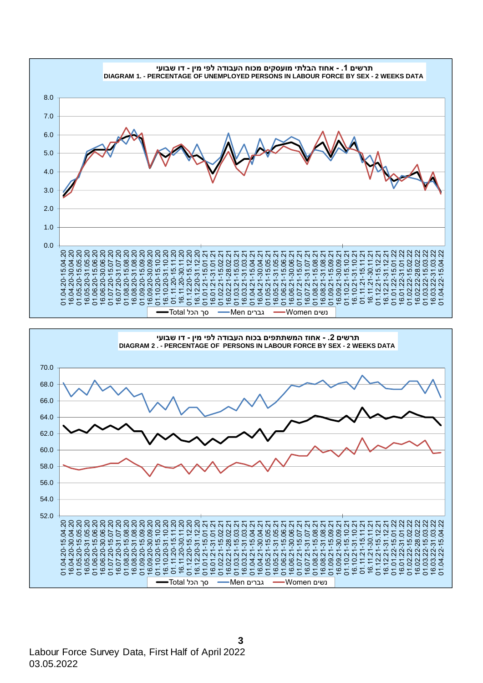



Labour Force Survey Data, First Half of April 2022 03.05.2022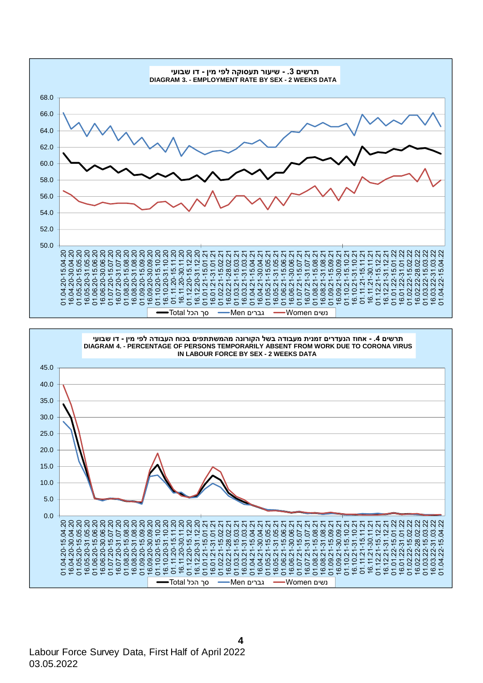



Labour Force Survey Data, First Half of April 2022 03.05.2022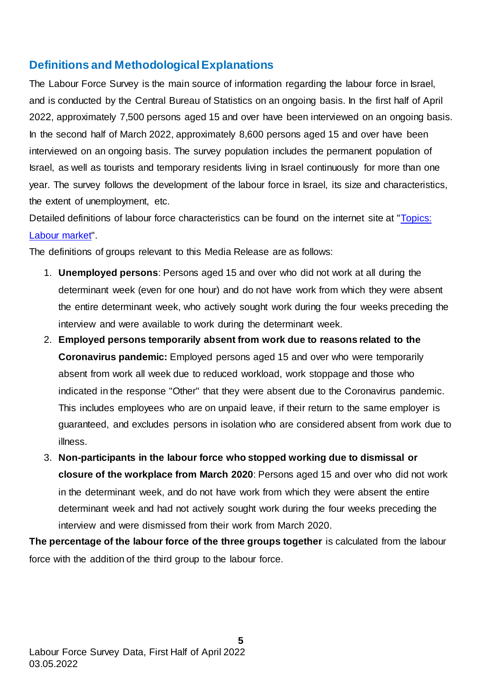### **Definitions and Methodological Explanations**

The Labour Force Survey is the main source of information regarding the labour force in Israel, and is conducted by the Central Bureau of Statistics on an ongoing basis. In the first half of April 2022, approximately 7,500 persons aged 15 and over have been interviewed on an ongoing basis. In the second half of March 2022, approximately 8,600 persons aged 15 and over have been interviewed on an ongoing basis. The survey population includes the permanent population of Israel, as well as tourists and temporary residents living in Israel continuously for more than one year. The survey follows the development of the labour force in Israel, its size and characteristics, the extent of unemployment, etc.

Detailed definitions of labour force characteristics can be found on the internet site at ["Topics:](https://www.cbs.gov.il/he/publications/DocLib/saka_def18/DEFINITIONS,%20CLASSIFICATIONS%20AND%20EXPLANATIONS%202018.pdf)  [Labour market"](https://www.cbs.gov.il/he/publications/DocLib/saka_def18/DEFINITIONS,%20CLASSIFICATIONS%20AND%20EXPLANATIONS%202018.pdf).

The definitions of groups relevant to this Media Release are as follows:

- 1. **Unemployed persons**: Persons aged 15 and over who did not work at all during the determinant week (even for one hour) and do not have work from which they were absent the entire determinant week, who actively sought work during the four weeks preceding the interview and were available to work during the determinant week.
- 2. **Employed persons temporarily absent from work due to reasons related to the Coronavirus pandemic:** Employed persons aged 15 and over who were temporarily absent from work all week due to reduced workload, work stoppage and those who indicated in the response "Other" that they were absent due to the Coronavirus pandemic. This includes employees who are on unpaid leave, if their return to the same employer is guaranteed, and excludes persons in isolation who are considered absent from work due to illness.
- 3. **Non-participants in the labour force who stopped working due to dismissal or closure of the workplace from March 2020**: Persons aged 15 and over who did not work in the determinant week, and do not have work from which they were absent the entire determinant week and had not actively sought work during the four weeks preceding the interview and were dismissed from their work from March 2020.

**The percentage of the labour force of the three groups together** is calculated from the labour force with the addition of the third group to the labour force.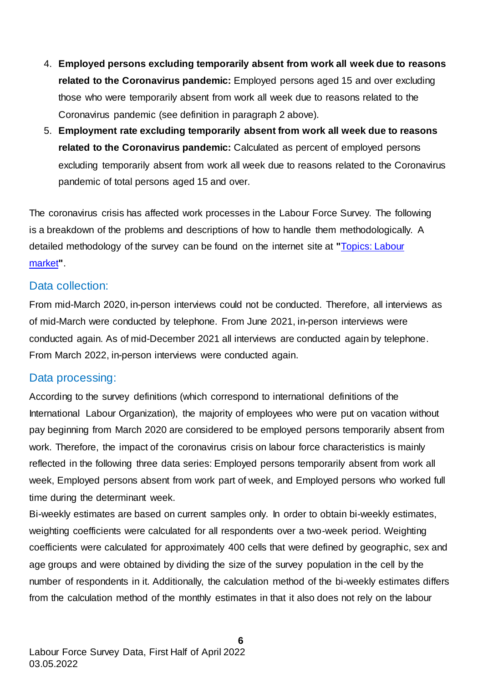- 4. **Employed persons excluding temporarily absent from work all week due to reasons related to the Coronavirus pandemic:** Employed persons aged 15 and over excluding those who were temporarily absent from work all week due to reasons related to the Coronavirus pandemic (see definition in paragraph 2 above).
- 5. **Employment rate excluding temporarily absent from work all week due to reasons related to the Coronavirus pandemic:** Calculated as percent of employed persons excluding temporarily absent from work all week due to reasons related to the Coronavirus pandemic of total persons aged 15 and over.

The coronavirus crisis has affected work processes in the Labour Force Survey. The following is a breakdown of the problems and descriptions of how to handle them methodologically. A detailed methodology of the survey can be found on the internet site at **"**[Topics: Labour](https://www.cbs.gov.il/he/publications/DocLib/saka_def18/METHODS%202018.pdf)  [market](https://www.cbs.gov.il/he/publications/DocLib/saka_def18/METHODS%202018.pdf)**"**.

### Data collection:

From mid-March 2020, in-person interviews could not be conducted. Therefore, all interviews as of mid-March were conducted by telephone. From June 2021, in-person interviews were conducted again. As of mid-December 2021 all interviews are conducted again by telephone. From March 2022, in-person interviews were conducted again.

### Data processing:

According to the survey definitions (which correspond to international definitions of the International Labour Organization), the majority of employees who were put on vacation without pay beginning from March 2020 are considered to be employed persons temporarily absent from work. Therefore, the impact of the coronavirus crisis on labour force characteristics is mainly reflected in the following three data series: Employed persons temporarily absent from work all week, Employed persons absent from work part of week, and Employed persons who worked full time during the determinant week.

Bi-weekly estimates are based on current samples only. In order to obtain bi-weekly estimates, weighting coefficients were calculated for all respondents over a two-week period. Weighting coefficients were calculated for approximately 400 cells that were defined by geographic, sex and age groups and were obtained by dividing the size of the survey population in the cell by the number of respondents in it. Additionally, the calculation method of the bi-weekly estimates differs from the calculation method of the monthly estimates in that it also does not rely on the labour